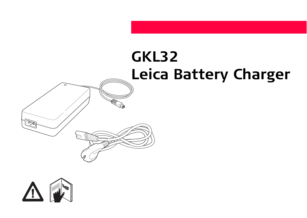# **GKL32 Leica Battery Charger**

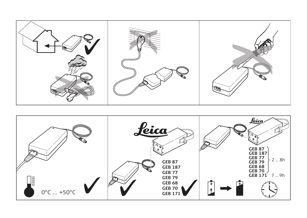

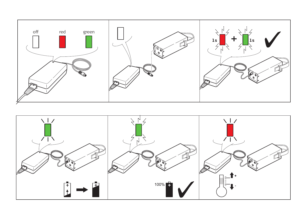

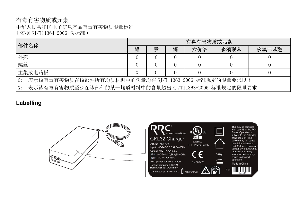## 有毒有害物质或元素 中华人民共和国电子信息产品有毒有害物质限量标准 ( 依据 SJ/T11364-2006 为标准 )

| 部件名称                                                               | 有毒有害物质或元素 |   |   |     |      |       |
|--------------------------------------------------------------------|-----------|---|---|-----|------|-------|
|                                                                    | 铅         | 汞 | 镉 | 六价铬 | 多溴联苯 | 多溴二苯醚 |
| 外壳                                                                 |           |   |   |     |      |       |
| 螺丝                                                                 |           |   |   |     |      |       |
| 主集成电路板                                                             |           |   |   |     |      |       |
| 表示该有毒有害物质在该部件所有均质材料中的含量均在 SJ/T11363-2006 标准规定的限量要求以下<br>$\theta$ : |           |   |   |     |      |       |
| 表示该有毒有害物质至少在该部件的某一均质材料中的含量超出 ST/T11363-2006 标准规定的限量要求              |           |   |   |     |      |       |

# **Labelling**

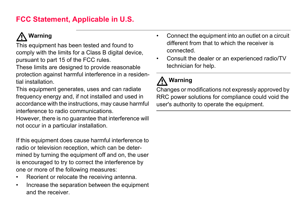# **FCC Statement, Applicable in U.S.**

# **Warning**

**A** Warning<br>This equipment has been tested and found to comply with the limits for a Class B digital device, pursuant to part 15 of the FCC rules.

These limits are designed to provide reasonable protection against harmful interference in a residential installation.

This equipment generates, uses and can radiate frequency energy and, if not installed and used in accordance with the instructions, may cause harmful interference to radio communications.

However, there is no guarantee that interference will not occur in a particular installation.

If this equipment does cause harmful interference to radio or television reception, which can be determined by turning the equipment off and on, the user is encouraged to try to correct the interference by one or more of the following measures:

- Reorient or relocate the receiving antenna.
- Increase the separation between the equipment and the receiver.
- Connect the equipment into an outlet on a circuit different from that to which the receiver is connected.
- Consult the dealer or an experienced radio/TV technician for help.

# -**Warning**

Changes or modifications not expressly approved by RRC power solutions for compliance could void the user's authority to operate the equipment.